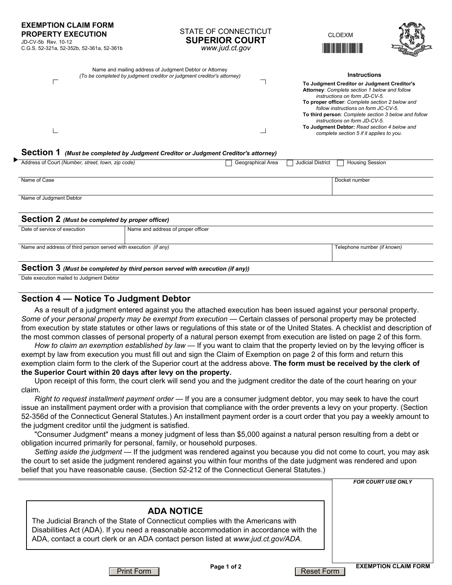**EXEMPTION CLAIM FORM PROPERTY EXECUTION**  JD-CV-5b Rev. 10-12

C.G.S. 52-321a, 52-352b, 52-361a, 52-361b

#### STATE OF CONNECTICUT **SUPERIOR COURT**  *www.jud.ct.gov*

CLOEXM  $\overline{\mathcal{L}}$ 



| Name and mailing address of Judgment Debtor or Attorney<br>(To be completed by judgment creditor or judgment creditor's attorney) | <b>Instructions</b>                                                                                                           |
|-----------------------------------------------------------------------------------------------------------------------------------|-------------------------------------------------------------------------------------------------------------------------------|
|                                                                                                                                   | To Judgment Creditor or Judgment Creditor's<br>Attorney: Complete section 1 below and follow<br>instructions on form JD-CV-5. |
|                                                                                                                                   | To proper officer: Complete section 2 below and<br>follow instructions on form JC-CV-5.                                       |
|                                                                                                                                   | To third person: Complete section 3 below and follow<br>instructions on form JD-CV-5.                                         |
|                                                                                                                                   | To Judgment Debtor: Read section 4 below and<br>complete section 5 if it applies to you.                                      |

### **Section 1** *(Must be completed by Judgment Creditor or Judgment Creditor's attorney)*

| ▶-<br>Address of Court (Number, street, town, zip code)         |                                    | Geographical Area | <b>Judicial District</b> | <b>Housing Session</b>      |  |
|-----------------------------------------------------------------|------------------------------------|-------------------|--------------------------|-----------------------------|--|
| Name of Case                                                    |                                    |                   |                          | Docket number               |  |
| Name of Judgment Debtor                                         |                                    |                   |                          |                             |  |
| <b>Section 2</b> (Must be completed by proper officer)          |                                    |                   |                          |                             |  |
| Date of service of execution                                    | Name and address of proper officer |                   |                          |                             |  |
| Name and address of third person served with execution (if any) |                                    |                   |                          | Telephone number (if known) |  |
| .                                                               |                                    |                   |                          |                             |  |

### **Section 3** *(Must be completed by third person served with execution (if any))*

Date execution mailed to Judgment Debtor

## **Section 4 — Notice To Judgment Debtor**

As a result of a judgment entered against you the attached execution has been issued against your personal property. *Some of your personal property may be exempt from execution* — Certain classes of personal property may be protected from execution by state statutes or other laws or regulations of this state or of the United States. A checklist and description of the most common classes of personal property of a natural person exempt from execution are listed on page 2 of this form.

*How to claim an exemption established by law* — If you want to claim that the property levied on by the levying officer is exempt by law from execution you must fill out and sign the Claim of Exemption on page 2 of this form and return this exemption claim form to the clerk of the Superior court at the address above. **The form must be received by the clerk of the Superior Court within 20 days after levy on the property.**

## Upon receipt of this form, the court clerk will send you and the judgment creditor the date of the court hearing on your claim.

*Right to request installment payment order* — If you are a consumer judgment debtor, you may seek to have the court issue an installment payment order with a provision that compliance with the order prevents a levy on your property. (Section 52-356d of the Connecticut General Statutes.) An installment payment order is a court order that you pay a weekly amount to the judgment creditor until the judgment is satisfied.

"Consumer Judgment" means a money judgment of less than \$5,000 against a natural person resulting from a debt or obligation incurred primarily for personal, family, or household purposes.

*Setting aside the judgment* — If the judgment was rendered against you because you did not come to court, you may ask the court to set aside the judgment rendered against you within four months of the date judgment was rendered and upon belief that you have reasonable cause. (Section 52-212 of the Connecticut General Statutes.)

|                                                                                                                                                                                                                                                                | <b>FOR COURT USE ONLY</b>   |
|----------------------------------------------------------------------------------------------------------------------------------------------------------------------------------------------------------------------------------------------------------------|-----------------------------|
| <b>ADA NOTICE</b>                                                                                                                                                                                                                                              |                             |
| The Judicial Branch of the State of Connecticut complies with the Americans with<br>Disabilities Act (ADA). If you need a reasonable accommodation in accordance with the<br>ADA, contact a court clerk or an ADA contact person listed at www.jud.ct.gov/ADA. |                             |
| Page 1 of 2                                                                                                                                                                                                                                                    | <b>EXEMPTION CLAIM FORM</b> |